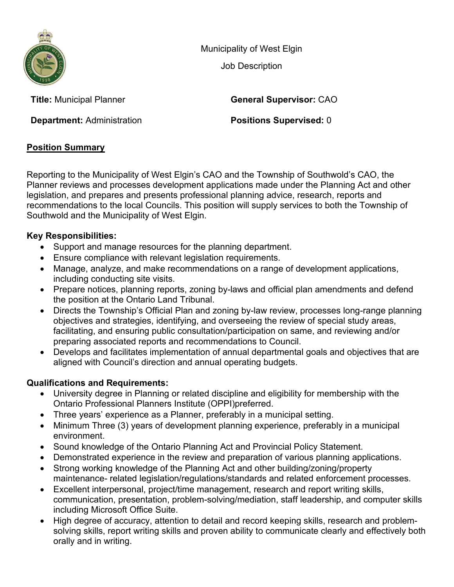

Municipality of West Elgin

Job Description

**Title:** Municipal Planner **General Supervisor:** CAO

**Department: Administration <b>Positions Supervised:** 0

# **Position Summary**

Reporting to the Municipality of West Elgin's CAO and the Township of Southwold's CAO, the Planner reviews and processes development applications made under the Planning Act and other legislation, and prepares and presents professional planning advice, research, reports and recommendations to the local Councils. This position will supply services to both the Township of Southwold and the Municipality of West Elgin.

## **Key Responsibilities:**

- Support and manage resources for the planning department.
- Ensure compliance with relevant legislation requirements.
- Manage, analyze, and make recommendations on a range of development applications, including conducting site visits.
- Prepare notices, planning reports, zoning by-laws and official plan amendments and defend the position at the Ontario Land Tribunal.
- Directs the Township's Official Plan and zoning by-law review, processes long-range planning objectives and strategies, identifying, and overseeing the review of special study areas, facilitating, and ensuring public consultation/participation on same, and reviewing and/or preparing associated reports and recommendations to Council.
- Develops and facilitates implementation of annual departmental goals and objectives that are aligned with Council's direction and annual operating budgets.

# **Qualifications and Requirements:**

- University degree in Planning or related discipline and eligibility for membership with the Ontario Professional Planners Institute (OPPI)preferred.
- Three years' experience as a Planner, preferably in a municipal setting.
- Minimum Three (3) years of development planning experience, preferably in a municipal environment.
- Sound knowledge of the Ontario Planning Act and Provincial Policy Statement.
- Demonstrated experience in the review and preparation of various planning applications.
- Strong working knowledge of the Planning Act and other building/zoning/property maintenance- related legislation/regulations/standards and related enforcement processes.
- Excellent interpersonal, project/time management, research and report writing skills, communication, presentation, problem-solving/mediation, staff leadership, and computer skills including Microsoft Office Suite.
- High degree of accuracy, attention to detail and record keeping skills, research and problemsolving skills, report writing skills and proven ability to communicate clearly and effectively both orally and in writing.